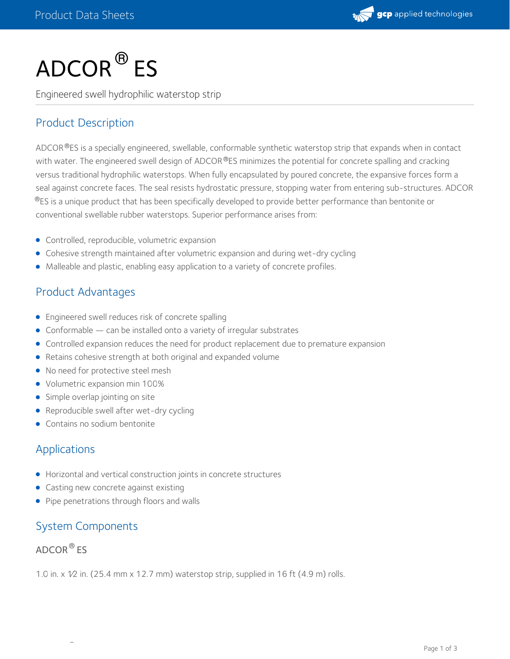

# $\mathsf{ADCOR}^{\circledR}\mathsf{ES}$

Engineered swell hydrophilic waterstop strip

# Product Description

ADCOR®ES is a specially engineered, swellable, conformable synthetic waterstop strip that expands when in contact with water. The engineered swell design of ADCOR®ES minimizes the potential for concrete spalling and cracking versus traditional hydrophilic waterstops. When fully encapsulated by poured concrete, the expansive forces form a seal against concrete faces. The seal resists hydrostatic pressure, stopping water from entering sub-structures. ADCOR  $^{\circledR}$ ES is a unique product that has been specifically developed to provide better performance than bentonite or conventional swellable rubber waterstops. Superior performance arises from:

- Controlled, reproducible, volumetric expansion
- Cohesive strength maintained after volumetric expansion and during wet-dry cycling
- Malleable and plastic, enabling easy application to a variety of concrete profiles.

# Product Advantages

- Engineered swell reduces risk of concrete spalling
- Conformable can be installed onto a variety of irregular substrates
- Controlled expansion reduces the need for product replacement due to premature expansion
- Retains cohesive strength at both original and expanded volume
- No need for protective steel mesh
- Volumetric expansion min 100%
- Simple overlap jointing on site
- Reproducible swell after wet-dry cycling
- Contains no sodium bentonite

## Applications

- Horizontal and vertical construction joints in concrete structures
- Casting new concrete against existing
- Pipe penetrations through floors and walls

#### System Components

®

#### ADCOR $^\circledR$  ES

1.0 in. x  $1/2$  in. (25.4 mm x 12.7 mm) waterstop strip, supplied in 16 ft (4.9 m) rolls.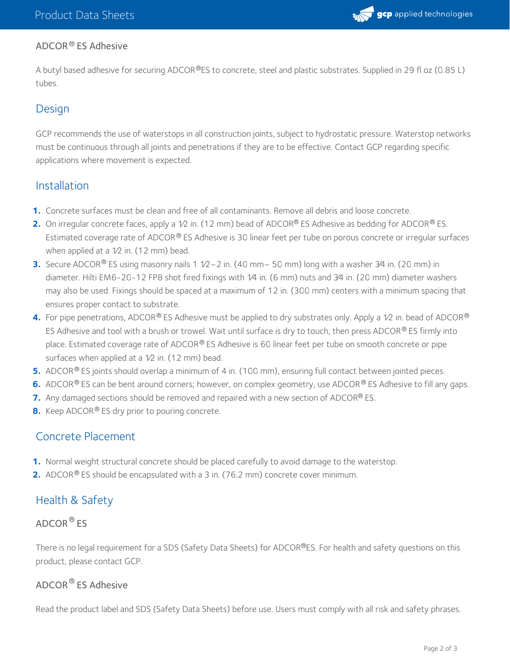

#### ADCOR ® ES Adhesive

A butyl based adhesive for securing ADCOR®ES to concrete, steel and plastic substrates. Supplied in 29 fl oz (0.85 L) tubes.

### **Design**

GCP recommends the use of waterstops in all construction joints, subject to hydrostatic pressure. Waterstop networks must be continuous through all joints and penetrations if they are to be effective. Contact GCP regarding specific applications where movement is expected.

#### Installation

- **1.** Concrete surfaces must be clean and free of all contaminants. Remove all debris and loose concrete.
- **2.** On irregular concrete faces, apply a 1⁄2 in. (12 mm) bead of ADCOR® ES Adhesive as bedding for ADCOR® ES. Estimated coverage rate of ADCOR® ES Adhesive is 30 linear feet per tube on porous concrete or irregular surfaces when applied at a  $1/2$  in. (12 mm) bead.
- **3.** Secure ADCOR® ES using masonry nails 1 1⁄2–2 in. (40 mm– 50 mm) long with a washer 3⁄4 in. (20 mm) in diameter. Hilti EM6-20-12 FP8 shot fired fixings with 1⁄4 in. (6 mm) nuts and 3⁄4 in. (20 mm) diameter washers may also be used. Fixings should be spaced at a maximum of 12 in. (300 mm) centers with a minimum spacing that ensures proper contact to substrate.
- **4.** For pipe penetrations, ADCOR® ES Adhesive must be applied to dry substrates only. Apply a 1⁄2 in. bead of ADCOR® ES Adhesive and tool with a brush or trowel. Wait until surface is dry to touch, then press ADCOR® ES firmly into place. Estimated coverage rate of ADCOR® ES Adhesive is 60 linear feet per tube on smooth concrete or pipe surfaces when applied at a 1/2 in. (12 mm) bead.
- **5.** ADCOR<sup>®</sup> ES joints should overlap a minimum of 4 in. (100 mm), ensuring full contact between jointed pieces.
- **6.** ADCOR<sup>®</sup> ES can be bent around corners; however, on complex geometry, use ADCOR<sup>®</sup> ES Adhesive to fill any gaps.
- **7.** Any damaged sections should be removed and repaired with a new section of ADCOR® ES.
- **8.** Keep ADCOR® ES dry prior to pouring concrete.

## Concrete Placement

- **1.** Normal weight structural concrete should be placed carefully to avoid damage to the waterstop.
- **2.** ADCOR<sup>®</sup> ES should be encapsulated with a 3 in. (76.2 mm) concrete cover minimum.

# Health & Safety

#### ADCOR $^\circledR$  ES

There is no legal requirement for a SDS (Safety Data Sheets) for ADCOR®ES. For health and safety questions on this product, please contact GCP.

## ADCOR  $^\circledR$  ES Adhesive

Read the product label and SDS (Safety Data Sheets) before use. Users must comply with all risk and safety phrases.